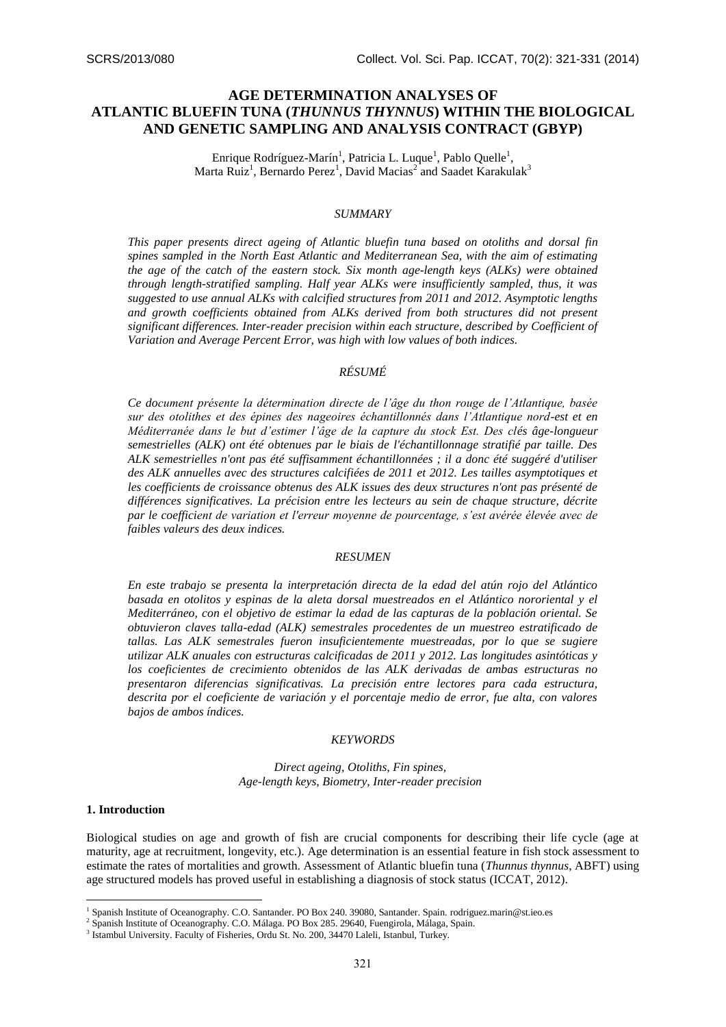# **AGE DETERMINATION ANALYSES OF ATLANTIC BLUEFIN TUNA (***THUNNUS THYNNUS***) WITHIN THE BIOLOGICAL AND GENETIC SAMPLING AND ANALYSIS CONTRACT (GBYP)**

Enrique Rodríguez-Marín<sup>1</sup>, Patricia L. Luque<sup>1</sup>, Pablo Quelle<sup>1</sup>, Marta Ruiz<sup>1</sup>, Bernardo Perez<sup>1</sup>, David Macias<sup>2</sup> and Saadet Karakulak<sup>3</sup>

## *SUMMARY*

*This paper presents direct ageing of Atlantic bluefin tuna based on otoliths and dorsal fin spines sampled in the North East Atlantic and Mediterranean Sea, with the aim of estimating the age of the catch of the eastern stock. Six month age-length keys (ALKs) were obtained through length-stratified sampling. Half year ALKs were insufficiently sampled, thus, it was suggested to use annual ALKs with calcified structures from 2011 and 2012. Asymptotic lengths and growth coefficients obtained from ALKs derived from both structures did not present significant differences. Inter-reader precision within each structure, described by Coefficient of Variation and Average Percent Error, was high with low values of both indices.*

# *RÉSUMÉ*

*Ce document présente la détermination directe de l'âge du thon rouge de l'Atlantique, basée sur des otolithes et des épines des nageoires échantillonnés dans l'Atlantique nord-est et en Méditerranée dans le but d'estimer l'âge de la capture du stock Est. Des clés âge-longueur semestrielles (ALK) ont été obtenues par le biais de l'échantillonnage stratifié par taille. Des ALK semestrielles n'ont pas été suffisamment échantillonnées ; il a donc été suggéré d'utiliser*  des ALK annuelles avec des structures calcifiées de 2011 et 2012. Les tailles asymptotiques et *les coefficients de croissance obtenus des ALK issues des deux structures n'ont pas présenté de différences significatives. La précision entre les lecteurs au sein de chaque structure, décrite par le coefficient de variation et l'erreur moyenne de pourcentage, s'est avérée élevée avec de faibles valeurs des deux indices.*

#### *RESUMEN*

*En este trabajo se presenta la interpretación directa de la edad del atún rojo del Atlántico basada en otolitos y espinas de la aleta dorsal muestreados en el Atlántico nororiental y el Mediterráneo, con el objetivo de estimar la edad de las capturas de la población oriental. Se obtuvieron claves talla-edad (ALK) semestrales procedentes de un muestreo estratificado de tallas. Las ALK semestrales fueron insuficientemente muestreadas, por lo que se sugiere utilizar ALK anuales con estructuras calcificadas de 2011 y 2012. Las longitudes asintóticas y los coeficientes de crecimiento obtenidos de las ALK derivadas de ambas estructuras no presentaron diferencias significativas. La precisión entre lectores para cada estructura, descrita por el coeficiente de variación y el porcentaje medio de error, fue alta, con valores bajos de ambos índices.* 

#### *KEYWORDS*

*Direct ageing, Otoliths, Fin spines, Age-length keys, Biometry, Inter-reader precision* 

## **1. Introduction**

 $\overline{a}$ 

Biological studies on age and growth of fish are crucial components for describing their life cycle (age at maturity, age at recruitment, longevity, etc.). Age determination is an essential feature in fish stock assessment to estimate the rates of mortalities and growth. Assessment of Atlantic bluefin tuna (*Thunnus thynnus*, ABFT) using age structured models has proved useful in establishing a diagnosis of stock status (ICCAT, 2012).

<sup>1</sup> Spanish Institute of Oceanography. C.O. Santander. PO Box 240. 39080, Santander. Spain. [rodriguez.marin@st.ieo.es](mailto:rodriguez.marin@st.ieo.es)

<sup>2</sup> Spanish Institute of Oceanography. C.O. Málaga. PO Box 285. 29640, Fuengirola, Málaga, Spain.

<sup>&</sup>lt;sup>3</sup> Istambul University. Faculty of Fisheries, Ordu St. No. 200, 34470 Laleli, Istanbul, Turkey.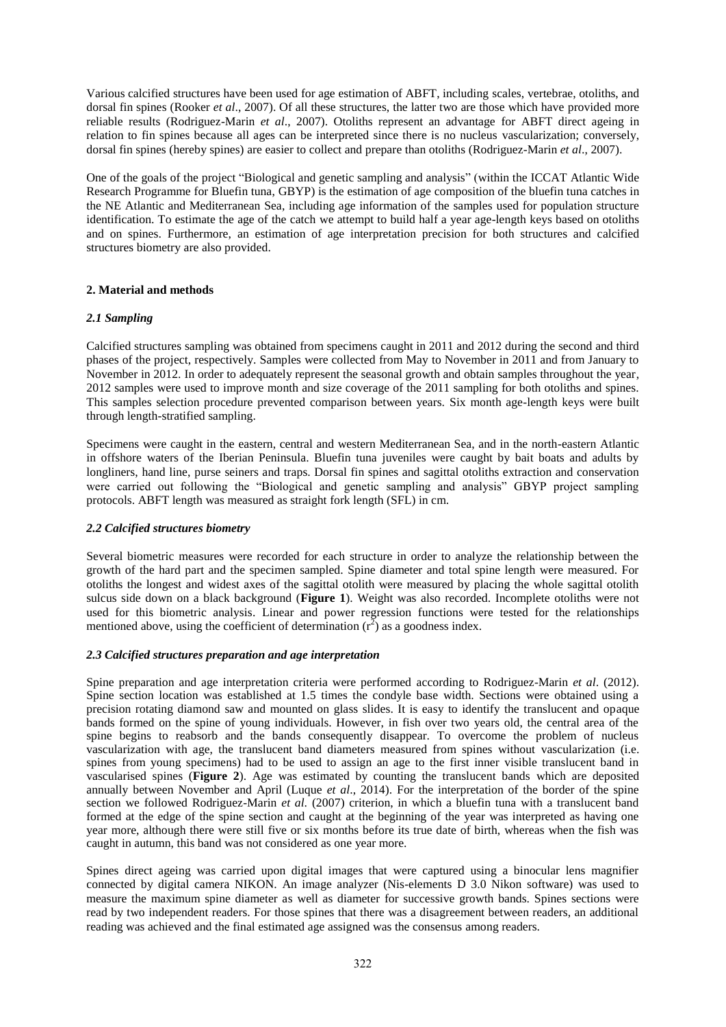Various calcified structures have been used for age estimation of ABFT, including scales, vertebrae, otoliths, and dorsal fin spines (Rooker *et al*., 2007). Of all these structures, the latter two are those which have provided more reliable results (Rodriguez-Marin *et al*., 2007). Otoliths represent an advantage for ABFT direct ageing in relation to fin spines because all ages can be interpreted since there is no nucleus vascularization; conversely, dorsal fin spines (hereby spines) are easier to collect and prepare than otoliths (Rodriguez-Marin *et al*., 2007).

One of the goals of the project "Biological and genetic sampling and analysis" (within the ICCAT Atlantic Wide Research Programme for Bluefin tuna, GBYP) is the estimation of age composition of the bluefin tuna catches in the NE Atlantic and Mediterranean Sea, including age information of the samples used for population structure identification. To estimate the age of the catch we attempt to build half a year age-length keys based on otoliths and on spines. Furthermore, an estimation of age interpretation precision for both structures and calcified structures biometry are also provided.

# **2. Material and methods**

# *2.1 Sampling*

Calcified structures sampling was obtained from specimens caught in 2011 and 2012 during the second and third phases of the project, respectively. Samples were collected from May to November in 2011 and from January to November in 2012. In order to adequately represent the seasonal growth and obtain samples throughout the year, 2012 samples were used to improve month and size coverage of the 2011 sampling for both otoliths and spines. This samples selection procedure prevented comparison between years. Six month age-length keys were built through length-stratified sampling.

Specimens were caught in the eastern, central and western Mediterranean Sea, and in the north-eastern Atlantic in offshore waters of the Iberian Peninsula. Bluefin tuna juveniles were caught by bait boats and adults by longliners, hand line, purse seiners and traps. Dorsal fin spines and sagittal otoliths extraction and conservation were carried out following the "Biological and genetic sampling and analysis" GBYP project sampling protocols. ABFT length was measured as straight fork length (SFL) in cm.

## *2.2 Calcified structures biometry*

Several biometric measures were recorded for each structure in order to analyze the relationship between the growth of the hard part and the specimen sampled. Spine diameter and total spine length were measured. For otoliths the longest and widest axes of the sagittal otolith were measured by placing the whole sagittal otolith sulcus side down on a black background (**Figure 1**). Weight was also recorded. Incomplete otoliths were not used for this biometric analysis. Linear and power regression functions were tested for the relationships mentioned above, using the coefficient of determination  $(r^2)$  as a goodness index.

#### *2.3 Calcified structures preparation and age interpretation*

Spine preparation and age interpretation criteria were performed according to Rodriguez-Marin *et al*. (2012). Spine section location was established at 1.5 times the condyle base width. Sections were obtained using a precision rotating diamond saw and mounted on glass slides. It is easy to identify the translucent and opaque bands formed on the spine of young individuals. However, in fish over two years old, the central area of the spine begins to reabsorb and the bands consequently disappear. To overcome the problem of nucleus vascularization with age, the translucent band diameters measured from spines without vascularization (i.e. spines from young specimens) had to be used to assign an age to the first inner visible translucent band in vascularised spines (**Figure 2**). Age was estimated by counting the translucent bands which are deposited annually between November and April (Luque *et al*., 2014). For the interpretation of the border of the spine section we followed Rodriguez-Marin *et al*. (2007) criterion, in which a bluefin tuna with a translucent band formed at the edge of the spine section and caught at the beginning of the year was interpreted as having one year more, although there were still five or six months before its true date of birth, whereas when the fish was caught in autumn, this band was not considered as one year more.

Spines direct ageing was carried upon digital images that were captured using a binocular lens magnifier connected by digital camera NIKON. An image analyzer (Nis-elements D 3.0 Nikon software) was used to measure the maximum spine diameter as well as diameter for successive growth bands. Spines sections were read by two independent readers. For those spines that there was a disagreement between readers, an additional reading was achieved and the final estimated age assigned was the consensus among readers.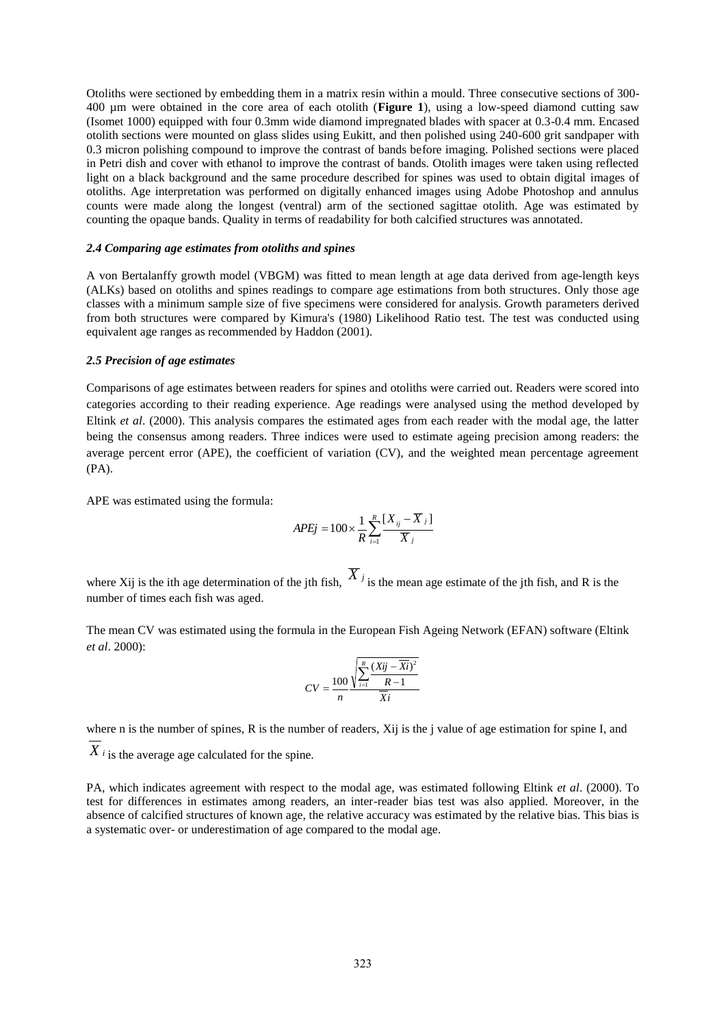Otoliths were sectioned by embedding them in a matrix resin within a mould. Three consecutive sections of 300- 400 µm were obtained in the core area of each otolith (**Figure 1**), using a low-speed diamond cutting saw (Isomet 1000) equipped with four 0.3mm wide diamond impregnated blades with spacer at 0.3-0.4 mm. Encased otolith sections were mounted on glass slides using Eukitt, and then polished using 240-600 grit sandpaper with 0.3 micron polishing compound to improve the contrast of bands before imaging. Polished sections were placed in Petri dish and cover with ethanol to improve the contrast of bands. Otolith images were taken using reflected light on a black background and the same procedure described for spines was used to obtain digital images of otoliths. Age interpretation was performed on digitally enhanced images using Adobe Photoshop and annulus counts were made along the longest (ventral) arm of the sectioned sagittae otolith. Age was estimated by counting the opaque bands. Quality in terms of readability for both calcified structures was annotated.

#### *2.4 Comparing age estimates from otoliths and spines*

A von Bertalanffy growth model (VBGM) was fitted to mean length at age data derived from age-length keys (ALKs) based on otoliths and spines readings to compare age estimations from both structures. Only those age classes with a minimum sample size of five specimens were considered for analysis. Growth parameters derived from both structures were compared by Kimura's (1980) Likelihood Ratio test. The test was conducted using equivalent age ranges as recommended by Haddon (2001).

#### *2.5 Precision of age estimates*

Comparisons of age estimates between readers for spines and otoliths were carried out. Readers were scored into categories according to their reading experience. Age readings were analysed using the method developed by Eltink *et al*. (2000). This analysis compares the estimated ages from each reader with the modal age, the latter being the consensus among readers. Three indices were used to estimate ageing precision among readers: the average percent error (APE), the coefficient of variation (CV), and the weighted mean percentage agreement (PA).

APE was estimated using the formula:

$$
APEj = 100 \times \frac{1}{R} \sum_{i=1}^{R} \frac{[X_{ij} - \overline{X}_{j}]}{\overline{X}_{j}}
$$

where Xij is the ith age determination of the jth fish,  $\overline{X}_j$  is the mean age estimate of the jth fish, and R is the number of times each fish was aged.

The mean CV was estimated using the formula in the European Fish Ageing Network (EFAN) software (Eltink *et al*. 2000):

$$
CV = \frac{100}{n} \frac{\sqrt{\sum_{i=1}^{R} \frac{(Xij - \overline{Xi})^2}{R - 1}}}{\overline{X}i}
$$

where n is the number of spines, R is the number of readers, Xij is the j value of age estimation for spine I, and

*X i* is the average age calculated for the spine.

PA, which indicates agreement with respect to the modal age, was estimated following Eltink *et al*. (2000). To test for differences in estimates among readers, an inter-reader bias test was also applied. Moreover, in the absence of calcified structures of known age, the relative accuracy was estimated by the relative bias. This bias is a systematic over- or underestimation of age compared to the modal age.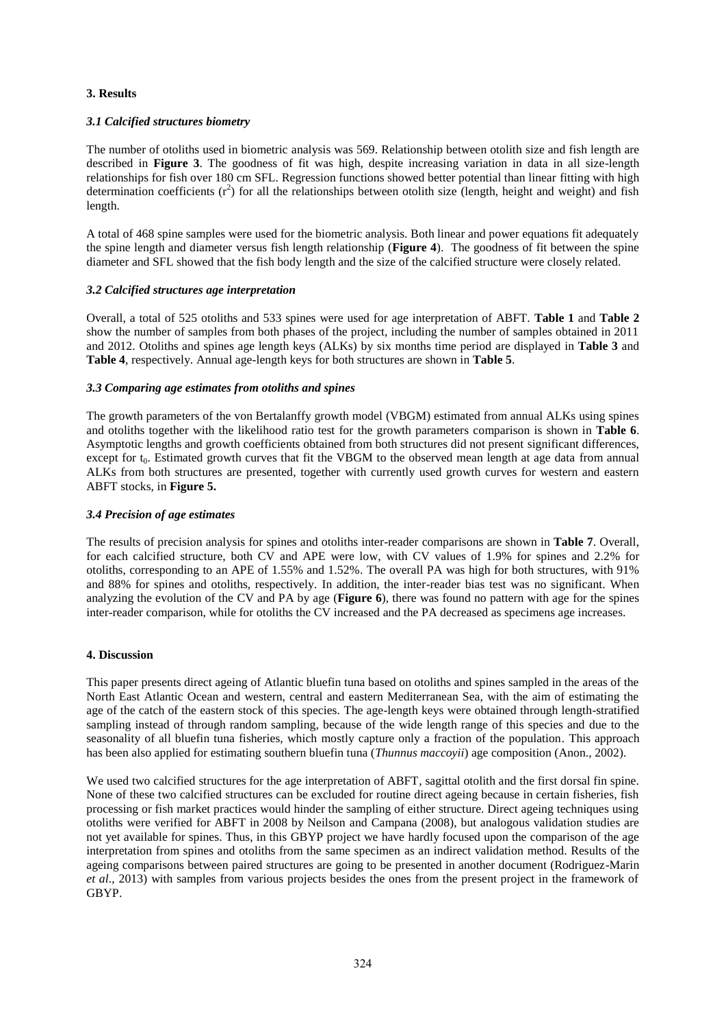# **3. Results**

## *3.1 Calcified structures biometry*

The number of otoliths used in biometric analysis was 569. Relationship between otolith size and fish length are described in **Figure 3**. The goodness of fit was high, despite increasing variation in data in all size-length relationships for fish over 180 cm SFL. Regression functions showed better potential than linear fitting with high determination coefficients  $(r^2)$  for all the relationships between otolith size (length, height and weight) and fish length.

A total of 468 spine samples were used for the biometric analysis. Both linear and power equations fit adequately the spine length and diameter versus fish length relationship (**Figure 4**). The goodness of fit between the spine diameter and SFL showed that the fish body length and the size of the calcified structure were closely related.

## *3.2 Calcified structures age interpretation*

Overall, a total of 525 otoliths and 533 spines were used for age interpretation of ABFT. **Table 1** and **Table 2** show the number of samples from both phases of the project, including the number of samples obtained in 2011 and 2012. Otoliths and spines age length keys (ALKs) by six months time period are displayed in **Table 3** and **Table 4**, respectively. Annual age-length keys for both structures are shown in **Table 5**.

## *3.3 Comparing age estimates from otoliths and spines*

The growth parameters of the von Bertalanffy growth model (VBGM) estimated from annual ALKs using spines and otoliths together with the likelihood ratio test for the growth parameters comparison is shown in **Table 6**. Asymptotic lengths and growth coefficients obtained from both structures did not present significant differences, except for  $t_0$ . Estimated growth curves that fit the VBGM to the observed mean length at age data from annual ALKs from both structures are presented, together with currently used growth curves for western and eastern ABFT stocks, in **Figure 5.**

# *3.4 Precision of age estimates*

The results of precision analysis for spines and otoliths inter-reader comparisons are shown in **Table 7**. Overall, for each calcified structure, both CV and APE were low, with CV values of 1.9% for spines and 2.2% for otoliths, corresponding to an APE of 1.55% and 1.52%. The overall PA was high for both structures, with 91% and 88% for spines and otoliths, respectively. In addition, the inter-reader bias test was no significant. When analyzing the evolution of the CV and PA by age (**Figure 6**), there was found no pattern with age for the spines inter-reader comparison, while for otoliths the CV increased and the PA decreased as specimens age increases.

## **4. Discussion**

This paper presents direct ageing of Atlantic bluefin tuna based on otoliths and spines sampled in the areas of the North East Atlantic Ocean and western, central and eastern Mediterranean Sea, with the aim of estimating the age of the catch of the eastern stock of this species. The age-length keys were obtained through length-stratified sampling instead of through random sampling, because of the wide length range of this species and due to the seasonality of all bluefin tuna fisheries, which mostly capture only a fraction of the population. This approach has been also applied for estimating southern bluefin tuna (*Thunnus maccoyii*) age composition (Anon., 2002).

We used two calcified structures for the age interpretation of ABFT, sagittal otolith and the first dorsal fin spine. None of these two calcified structures can be excluded for routine direct ageing because in certain fisheries, fish processing or fish market practices would hinder the sampling of either structure. Direct ageing techniques using otoliths were verified for ABFT in 2008 by Neilson and Campana (2008), but analogous validation studies are not yet available for spines. Thus, in this GBYP project we have hardly focused upon the comparison of the age interpretation from spines and otoliths from the same specimen as an indirect validation method. Results of the ageing comparisons between paired structures are going to be presented in another document (Rodriguez-Marin *et al*., 2013) with samples from various projects besides the ones from the present project in the framework of GBYP.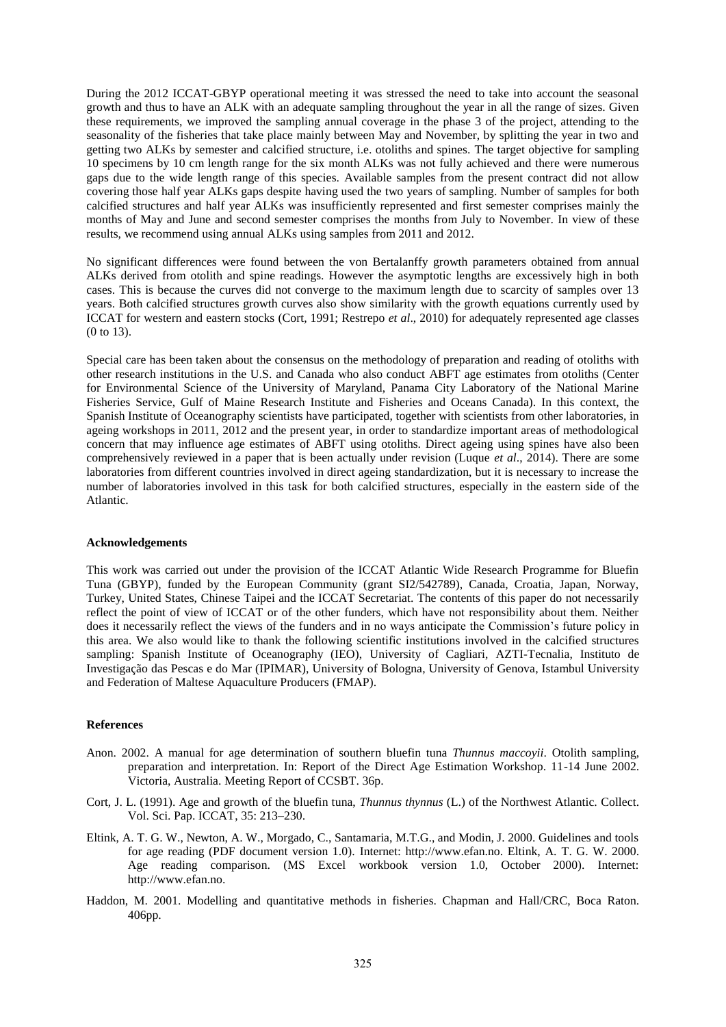During the 2012 ICCAT-GBYP operational meeting it was stressed the need to take into account the seasonal growth and thus to have an ALK with an adequate sampling throughout the year in all the range of sizes. Given these requirements, we improved the sampling annual coverage in the phase 3 of the project, attending to the seasonality of the fisheries that take place mainly between May and November, by splitting the year in two and getting two ALKs by semester and calcified structure, i.e. otoliths and spines. The target objective for sampling 10 specimens by 10 cm length range for the six month ALKs was not fully achieved and there were numerous gaps due to the wide length range of this species. Available samples from the present contract did not allow covering those half year ALKs gaps despite having used the two years of sampling. Number of samples for both calcified structures and half year ALKs was insufficiently represented and first semester comprises mainly the months of May and June and second semester comprises the months from July to November. In view of these results, we recommend using annual ALKs using samples from 2011 and 2012.

No significant differences were found between the von Bertalanffy growth parameters obtained from annual ALKs derived from otolith and spine readings. However the asymptotic lengths are excessively high in both cases. This is because the curves did not converge to the maximum length due to scarcity of samples over 13 years. Both calcified structures growth curves also show similarity with the growth equations currently used by ICCAT for western and eastern stocks (Cort, 1991; Restrepo *et al*., 2010) for adequately represented age classes (0 to 13).

Special care has been taken about the consensus on the methodology of preparation and reading of otoliths with other research institutions in the U.S. and Canada who also conduct ABFT age estimates from otoliths (Center for Environmental Science of the University of Maryland, Panama City Laboratory of the National Marine Fisheries Service, Gulf of Maine Research Institute and Fisheries and Oceans Canada). In this context, the Spanish Institute of Oceanography scientists have participated, together with scientists from other laboratories, in ageing workshops in 2011, 2012 and the present year, in order to standardize important areas of methodological concern that may influence age estimates of ABFT using otoliths. Direct ageing using spines have also been comprehensively reviewed in a paper that is been actually under revision (Luque *et al*., 2014). There are some laboratories from different countries involved in direct ageing standardization, but it is necessary to increase the number of laboratories involved in this task for both calcified structures, especially in the eastern side of the Atlantic.

#### **Acknowledgements**

This work was carried out under the provision of the ICCAT Atlantic Wide Research Programme for Bluefin Tuna (GBYP), funded by the European Community (grant SI2/542789), Canada, Croatia, Japan, Norway, Turkey, United States, Chinese Taipei and the ICCAT Secretariat. The contents of this paper do not necessarily reflect the point of view of ICCAT or of the other funders, which have not responsibility about them. Neither does it necessarily reflect the views of the funders and in no ways anticipate the Commission's future policy in this area. We also would like to thank the following scientific institutions involved in the calcified structures sampling: Spanish Institute of Oceanography (IEO), University of Cagliari, AZTI-Tecnalia, Instituto de Investigação das Pescas e do Mar (IPIMAR), University of Bologna, University of Genova, Istambul University and Federation of Maltese Aquaculture Producers (FMAP).

#### **References**

- Anon. 2002. A manual for age determination of southern bluefin tuna *Thunnus maccoyii*. Otolith sampling, preparation and interpretation. In: Report of the Direct Age Estimation Workshop. 11-14 June 2002. Victoria, Australia. Meeting Report of CCSBT. 36p.
- Cort, J. L. (1991). Age and growth of the bluefin tuna, *Thunnus thynnus* (L.) of the Northwest Atlantic. Collect. Vol. Sci. Pap. ICCAT, 35: 213–230.
- Eltink, A. T. G. W., Newton, A. W., Morgado, C., Santamaria, M.T.G., and Modin, J. 2000. Guidelines and tools for age reading (PDF document version 1.0). Internet: http://www.efan.no. Eltink, A. T. G. W. 2000. Age reading comparison. (MS Excel workbook version 1.0, October 2000). Internet: [http://www.efan.no.](http://www.efan.no/)
- Haddon, M. 2001. Modelling and quantitative methods in fisheries. Chapman and Hall/CRC, Boca Raton. 406pp.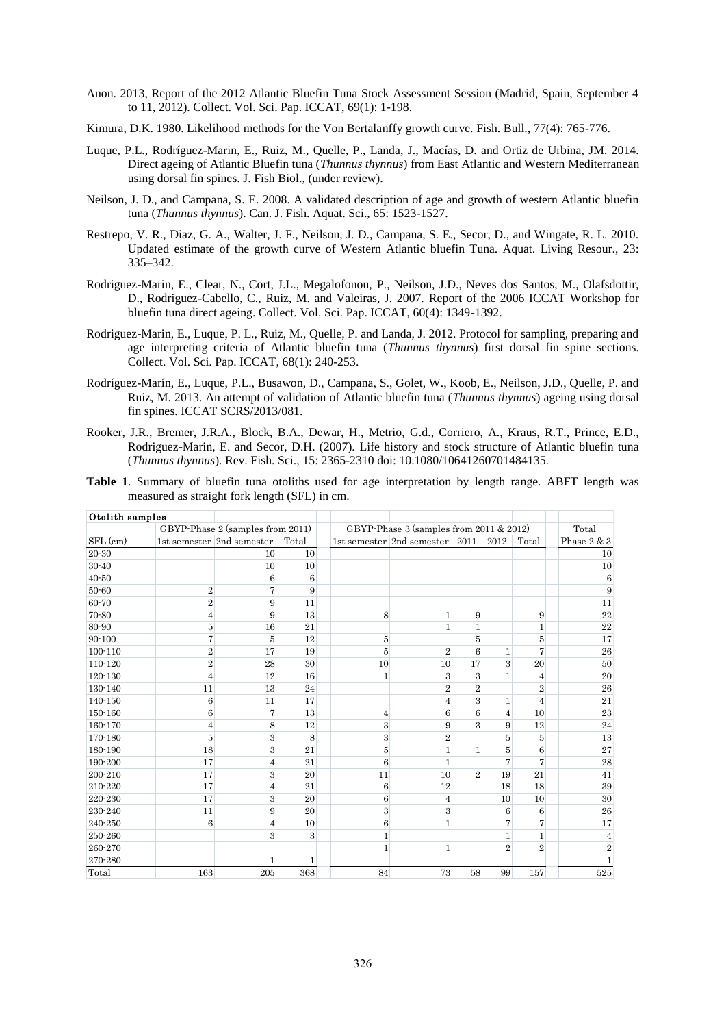- Anon. 2013, Report of the 2012 Atlantic Bluefin Tuna Stock Assessment Session (Madrid, Spain, September 4 to 11, 2012). Collect. Vol. Sci. Pap. ICCAT, 69(1): 1-198.
- Kimura, D.K. 1980. Likelihood methods for the Von Bertalanffy growth curve. Fish. Bull., 77(4): 765-776.
- Luque, P.L., Rodríguez-Marin, E., Ruiz, M., Quelle, P., Landa, J., Macías, D. and Ortiz de Urbina, JM. 2014. Direct ageing of Atlantic Bluefin tuna (*Thunnus thynnus*) from East Atlantic and Western Mediterranean using dorsal fin spines. J. Fish Biol., (under review).
- Neilson, J. D., and Campana, S. E. 2008. A validated description of age and growth of western Atlantic bluefin tuna (*Thunnus thynnus*). Can. J. Fish. Aquat. Sci., 65: 1523-1527.
- Restrepo, V. R., Diaz, G. A., Walter, J. F., Neilson, J. D., Campana, S. E., Secor, D., and Wingate, R. L. 2010. Updated estimate of the growth curve of Western Atlantic bluefin Tuna. Aquat. Living Resour., 23: 335–342.
- Rodriguez-Marin, E., Clear, N., Cort, J.L., Megalofonou, P., Neilson, J.D., Neves dos Santos, M., Olafsdottir, D., Rodriguez-Cabello, C., Ruiz, M. and Valeiras, J. 2007. Report of the 2006 ICCAT Workshop for bluefin tuna direct ageing. Collect. Vol. Sci. Pap. ICCAT, 60(4): 1349-1392.
- Rodriguez-Marin, E., Luque, P. L., Ruiz, M., Quelle, P. and Landa, J. 2012. Protocol for sampling, preparing and age interpreting criteria of Atlantic bluefin tuna (*Thunnus thynnus*) first dorsal fin spine sections. Collect. Vol. Sci. Pap. ICCAT, 68(1): 240-253.
- Rodríguez-Marín, E., Luque, P.L., Busawon, D., Campana, S., Golet, W., Koob, E., Neilson, J.D., Quelle, P. and Ruiz, M. 2013. An attempt of validation of Atlantic bluefin tuna (*Thunnus thynnus*) ageing using dorsal fin spines. ICCAT SCRS/2013/081.
- Rooker, J.R., Bremer, J.R.A., Block, B.A., Dewar, H., Metrio, G.d., Corriero, A., Kraus, R.T., Prince, E.D., Rodriguez-Marin, E. and Secor, D.H. (2007). Life history and stock structure of Atlantic bluefin tuna (*Thunnus thynnus*). Rev. Fish. Sci., 15: 2365-2310 doi: 10.1080/10641260701484135.
- **Table 1**. Summary of bluefin tuna otoliths used for age interpretation by length range. ABFT length was measured as straight fork length (SFL) in cm.

| Otolith samples |                |                                  |                 |                  |                                         |                |                |                 |                  |
|-----------------|----------------|----------------------------------|-----------------|------------------|-----------------------------------------|----------------|----------------|-----------------|------------------|
|                 |                | GBYP-Phase 2 (samples from 2011) |                 |                  | GBYP-Phase 3 (samples from 2011 & 2012) |                |                |                 | Total            |
| $SFL$ (cm)      |                | 1st semester 2nd semester        | Total           |                  | 1st semester $2nd$ semester             | 2011           | 2012           | Total           | Phase 2 & 3      |
| 20-30           |                | 10                               | 10 <sup>1</sup> |                  |                                         |                |                |                 | 10               |
| $30 - 40$       |                | 10                               | 10              |                  |                                         |                |                |                 | 10               |
| $40 - 50$       |                | $\,6$                            | $6\overline{6}$ |                  |                                         |                |                |                 | $\boldsymbol{6}$ |
| 50-60           | $\overline{2}$ | 7                                | 9               |                  |                                         |                |                |                 | 9                |
| 60-70           | $\overline{2}$ | $\boldsymbol{9}$                 | 11              |                  |                                         |                |                |                 | 11               |
| 70-80           | 4              | 9                                | 13              | 8                | $\mathbf{1}$                            | 9              |                | 9               | 22               |
| 80-90           | 5              | 16                               | 21              |                  | $\mathbf{1}$                            | $\mathbf{1}$   |                | $\mathbf{1}$    | $22\,$           |
| 90-100          | 7              | $\bf 5$                          | 12              | $\bf 5$          |                                         | $\overline{5}$ |                | $\overline{5}$  | 17               |
| 100-110         | $\overline{2}$ | 17                               | 19              | 5                | $\overline{2}$                          | 6              | 1              | 7               | 26               |
| 110-120         | $\overline{2}$ | 28                               | 30              | 10               | 10                                      | 17             | 3              | 20              | 50               |
| 120-130         | $\overline{4}$ | 12                               | 16              | 1                | 3                                       | 3              | 1              | $\overline{4}$  | 20               |
| 130-140         | 11             | 13                               | 24              |                  | $\overline{2}$                          | $\overline{2}$ |                | $\overline{2}$  | 26               |
| 140-150         | 6              | 11                               | 17              |                  | $\overline{4}$                          | 3              | 1              | $\overline{4}$  | 21               |
| 150-160         | 6              | 7                                | 13              | $\overline{4}$   | 6                                       | 6              | $\overline{4}$ | 10              | 23               |
| 160-170         | 4              | 8                                | 12              | 3                | 9                                       | 3              | 9              | 12              | 24               |
| 170-180         | 5              | $\overline{3}$                   | 8               | $\,3$            | $\overline{2}$                          |                | 5              | $\bf 5$         | 13               |
| 180-190         | 18             | 3                                | 21              | $\bf 5$          | $\mathbf{1}$                            | $\mathbf{1}$   | 5              | 6               | 27               |
| 190-200         | 17             | $\overline{4}$                   | 21              | 6                | $\mathbf{1}$                            |                | 7              | 7               | 28               |
| 200-210         | 17             | $\,3$                            | 20              | 11               | 10                                      | $\overline{2}$ | 19             | 21              | 41               |
| 210-220         | 17             | $\overline{4}$                   | 21              | $\boldsymbol{6}$ | 12                                      |                | 18             | 18              | 39               |
| 220-230         | 17             | 3                                | 20              | $\boldsymbol{6}$ | 4                                       |                | 10             | 10              | 30               |
| 230-240         | 11             | 9                                | 20              | $\,3$            | 3                                       |                | 6              | $6\overline{6}$ | 26               |
| 240-250         | 6              | $\overline{4}$                   | 10              | $\boldsymbol{6}$ | $\mathbf{1}$                            |                | 7              | $\overline{7}$  | 17               |
| 250-260         |                | $\overline{3}$                   | $\overline{3}$  | $\mathbf{1}$     |                                         |                | $\mathbf{1}$   | $\mathbf{1}$    | $\overline{4}$   |
| 260-270         |                |                                  |                 | $\mathbf{1}$     | 1                                       |                | $\overline{2}$ | $\overline{2}$  | $\,2$            |
| 270-280         |                | $\mathbf{1}$                     | $\mathbf{1}$    |                  |                                         |                |                |                 | $\mathbf{1}$     |
| Total           | 163            | 205                              | 368             | 84               | 73                                      | 58             | 99             | 157             | 525              |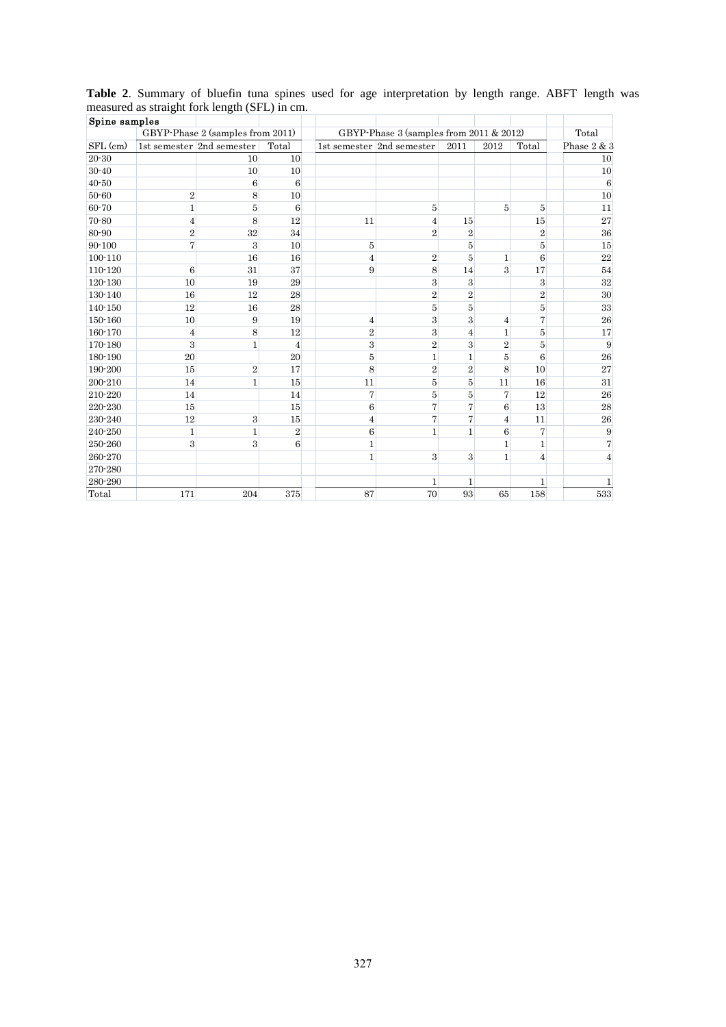| Spine samples | o              | $\circ$                          |                 |                  |                                         |                |                 |                |                |
|---------------|----------------|----------------------------------|-----------------|------------------|-----------------------------------------|----------------|-----------------|----------------|----------------|
|               |                | GBYP-Phase 2 (samples from 2011) |                 |                  | GBYP-Phase 3 (samples from 2011 & 2012) |                |                 |                | Total          |
| $SFL$ (cm)    |                | 1st semester 2nd semester        | Total           |                  | 1st semester 2nd semester               | 2011           | 2012            | Total          | Phase 2 & 3    |
| $20 - 30$     |                | 10 <sup>1</sup>                  | 10              |                  |                                         |                |                 |                | 10             |
| $30 - 40$     |                | 10                               | 10              |                  |                                         |                |                 |                | 10             |
| 40-50         |                | 6                                | $6\phantom{.}6$ |                  |                                         |                |                 |                | 6              |
| $50 - 60$     | $\overline{2}$ | 8                                | 10              |                  |                                         |                |                 |                | 10             |
| 60-70         | $\mathbf{1}$   | $\overline{5}$                   | $6\overline{6}$ |                  | $\overline{5}$                          |                | $5\overline{)}$ | 5              | 11             |
| $70 - 80$     | $\overline{4}$ | 8                                | 12              | 11               | 4                                       | 15             |                 | 15             | $\sqrt{27}$    |
| 80-90         | $\overline{2}$ | 32                               | 34              |                  | $\overline{2}$                          | $\overline{2}$ |                 | $\overline{2}$ | 36             |
| $90 - 100$    | 7              | 3                                | 10              | $\bf 5$          |                                         | 5              |                 | 5              | 15             |
| 100-110       |                | 16                               | 16              | $\overline{4}$   | $\overline{2}$                          | 5              | $\mathbf{1}$    | 6              | 22             |
| 110-120       | 6              | 31                               | 37              | 9                | 8                                       | 14             | $\overline{3}$  | 17             | 54             |
| 120-130       | 10             | 19                               | 29              |                  | $\mathbf{3}$                            | 3              |                 | 3              | 32             |
| 130-140       | 16             | 12                               | 28              |                  | $\overline{2}$                          | $\overline{2}$ |                 | $\overline{2}$ | 30             |
| 140-150       | 12             | 16                               | 28              |                  | $\overline{5}$                          | $\bf 5$        |                 | 5              | 33             |
| 150-160       | 10             | 9                                | 19              | $\overline{4}$   | $\overline{\mathbf{3}}$                 | 3              | $\overline{4}$  | 7              | 26             |
| 160-170       | $\overline{4}$ | 8                                | 12              | $\overline{2}$   | $\overline{\mathbf{3}}$                 | 4              | $\mathbf{1}$    | $\overline{5}$ | 17             |
| 170-180       | 3              | $\mathbf{1}$                     | 4               | $\boldsymbol{3}$ | $\overline{2}$                          | 3              | $\overline{2}$  | $\overline{5}$ | 9              |
| 180-190       | 20             |                                  | 20              | $\bf 5$          | $\mathbf{1}$                            | $\mathbf{1}$   | $5\overline{)}$ | 6              | 26             |
| 190-200       | 15             | $\sqrt{2}$                       | 17              | 8                | $\overline{2}$                          | $\overline{2}$ | 8               | 10             | $27\,$         |
| 200-210       | 14             | $\mathbf{1}$                     | 15              | 11               | $\overline{5}$                          | 5              | 11              | 16             | 31             |
| 210-220       | 14             |                                  | 14              | 7                | $\overline{5}$                          | 5              | $\overline{7}$  | 12             | 26             |
| 220-230       | 15             |                                  | 15              | $6\phantom{.}$   | 7                                       | 7              | 6               | 13             | 28             |
| 230-240       | 12             | 3                                | 15              | $\overline{4}$   | 7                                       | 7              | $\overline{4}$  | 11             | 26             |
| 240-250       | $\mathbf{1}$   | $\mathbf{1}$                     | $\overline{2}$  | $6\phantom{.}$   | $\mathbf{1}$                            | $\mathbf{1}$   | 6               | 7              | 9              |
| 250-260       | 3              | $\lvert 3 \rvert$                | $6\overline{6}$ | $\mathbf{1}$     |                                         |                | $\mathbf{1}$    | 1              | $\overline{7}$ |
| 260-270       |                |                                  |                 | $\mathbf{1}$     | $\overline{3}$                          | 3              | $\mathbf{1}$    | 4              | $\overline{4}$ |
| 270-280       |                |                                  |                 |                  |                                         |                |                 |                |                |
| 280-290       |                |                                  |                 |                  | 1                                       | $\mathbf{1}$   |                 | 1              |                |
| Total         | 171            | 204                              | 375             | 87               | 70                                      | 93             | 65              | 158            | 533            |

**Table 2**. Summary of bluefin tuna spines used for age interpretation by length range. ABFT length was measured as straight fork length (SFL) in cm.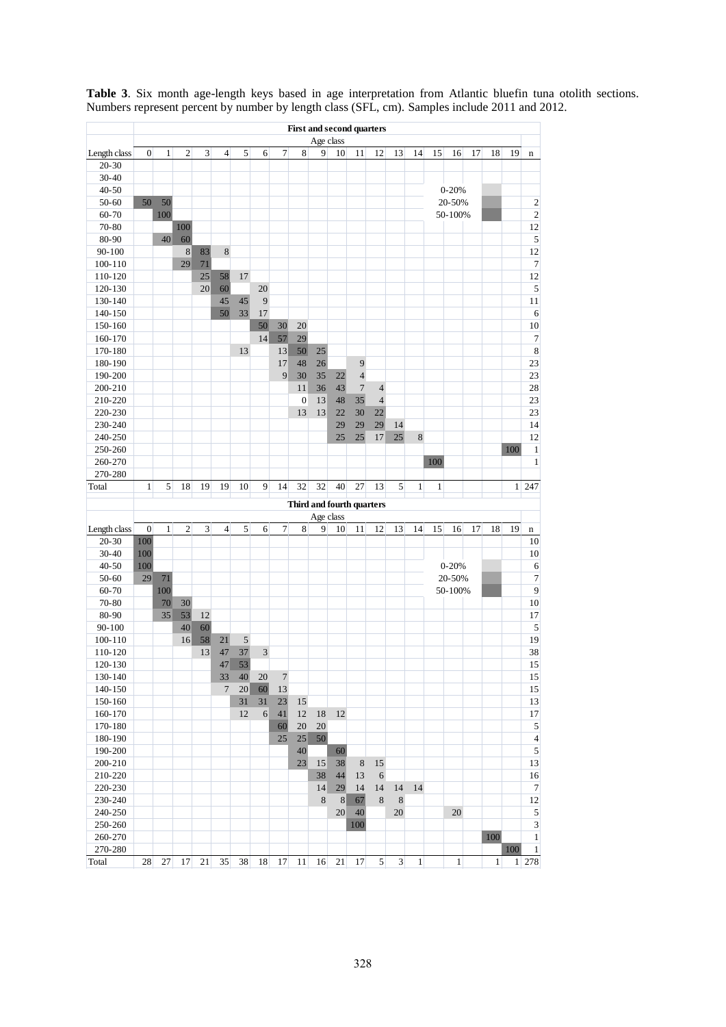|                           |                         |                |                |                |                 |                                              |    |                |                |                             |         | First and second quarters |                |                |              |              |              |    |              |     |                                                          |
|---------------------------|-------------------------|----------------|----------------|----------------|-----------------|----------------------------------------------|----|----------------|----------------|-----------------------------|---------|---------------------------|----------------|----------------|--------------|--------------|--------------|----|--------------|-----|----------------------------------------------------------|
|                           |                         |                |                | $\overline{3}$ |                 |                                              |    | $\overline{7}$ | 8 <sup>1</sup> | Age class<br>$\overline{9}$ |         |                           |                |                |              |              |              |    |              |     |                                                          |
| Length class<br>$20 - 30$ | $\vert 0 \vert$         | $\mathbf{1}$   | $\overline{2}$ |                | $\overline{4}$  | $\mathfrak{S}$                               | 6  |                |                |                             | 10      | 11                        | 12             | 13             | 14           | 15           | 16           | 17 | 18           | 19  | $\mathbf n$                                              |
| $30 - 40$                 |                         |                |                |                |                 |                                              |    |                |                |                             |         |                           |                |                |              |              |              |    |              |     |                                                          |
| $40 - 50$                 |                         |                |                |                |                 |                                              |    |                |                |                             |         |                           |                |                |              |              | $0 - 20%$    |    |              |     |                                                          |
| $50 - 60$                 | 50                      | 50             |                |                |                 |                                              |    |                |                |                             |         |                           |                |                |              |              | 20-50%       |    |              |     | $\sqrt{2}$                                               |
| 60-70                     |                         | 100            |                |                |                 |                                              |    |                |                |                             |         |                           |                |                |              |              | 50-100%      |    |              |     | $\overline{2}$                                           |
| 70-80                     |                         |                | 100            |                |                 |                                              |    |                |                |                             |         |                           |                |                |              |              |              |    |              |     | 12                                                       |
| 80-90                     |                         | 40             | 60             |                |                 |                                              |    |                |                |                             |         |                           |                |                |              |              |              |    |              |     | $\sqrt{5}$                                               |
| $90 - 100$                |                         |                | $\,$ 8 $\,$    | 83             | 8               |                                              |    |                |                |                             |         |                           |                |                |              |              |              |    |              |     | 12                                                       |
| 100-110                   |                         |                | 29             | 71             |                 |                                              |    |                |                |                             |         |                           |                |                |              |              |              |    |              |     | $\overline{7}$                                           |
| 110-120                   |                         |                |                | 25             | 58              | 17                                           |    |                |                |                             |         |                           |                |                |              |              |              |    |              |     | 12                                                       |
| 120-130                   |                         |                |                | 20             | 60              |                                              | 20 |                |                |                             |         |                           |                |                |              |              |              |    |              |     | $\sqrt{5}$                                               |
| 130-140                   |                         |                |                |                | 45              | 45                                           | 9  |                |                |                             |         |                           |                |                |              |              |              |    |              |     | 11                                                       |
| 140-150                   |                         |                |                |                | 50              | 33                                           | 17 |                |                |                             |         |                           |                |                |              |              |              |    |              |     | $\sqrt{6}$                                               |
| 150-160                   |                         |                |                |                |                 |                                              | 50 | 30             | 20             |                             |         |                           |                |                |              |              |              |    |              |     | 10                                                       |
| 160-170                   |                         |                |                |                |                 |                                              | 14 | 57             | 29             |                             |         |                           |                |                |              |              |              |    |              |     | $\overline{7}$                                           |
| 170-180                   |                         |                |                |                |                 | 13                                           |    | 13             | 50             | 25                          |         |                           |                |                |              |              |              |    |              |     | $\,$ 8 $\,$                                              |
| 180-190                   |                         |                |                |                |                 |                                              |    | 17             | 48             | 26                          |         | 9                         |                |                |              |              |              |    |              |     | 23                                                       |
| 190-200                   |                         |                |                |                |                 |                                              |    | 9              | 30             | 35                          | 22      | $\overline{4}$            |                |                |              |              |              |    |              |     | 23                                                       |
| 200-210                   |                         |                |                |                |                 |                                              |    |                | 11             | 36                          | 43      | $\overline{7}$            | $\overline{4}$ |                |              |              |              |    |              |     | 28                                                       |
| 210-220                   |                         |                |                |                |                 |                                              |    |                | $\mathbf{0}$   | 13                          | 48      | 35                        | $\overline{4}$ |                |              |              |              |    |              |     | 23                                                       |
| 220-230                   |                         |                |                |                |                 |                                              |    |                | 13             | 13                          | 22      | 30                        | 22             |                |              |              |              |    |              |     | 23                                                       |
| 230-240                   |                         |                |                |                |                 |                                              |    |                |                |                             | 29      | 29                        | 29             | 14             |              |              |              |    |              |     | 14                                                       |
| 240-250                   |                         |                |                |                |                 |                                              |    |                |                |                             | 25      | 25                        | 17             | $25\,$         | 8            |              |              |    |              |     | 12                                                       |
| 250-260                   |                         |                |                |                |                 |                                              |    |                |                |                             |         |                           |                |                |              |              |              |    |              | 100 | $\mathbf{1}$                                             |
| 260-270                   |                         |                |                |                |                 |                                              |    |                |                |                             |         |                           |                |                |              | 100          |              |    |              |     | $\mathbf{1}$                                             |
| 270-280                   |                         |                |                |                |                 |                                              |    |                |                |                             |         |                           |                |                |              |              |              |    |              |     |                                                          |
| Total                     | $\mathbf{1}$            | $\mathfrak{S}$ | 18             | 19             | 19              | 10                                           | 9  | 14             | 32             | 32                          | 40      | 27                        | 13             | $\mathfrak{S}$ | 1            | $\mathbf{1}$ |              |    |              |     | 1 247                                                    |
|                           |                         |                |                |                |                 |                                              |    |                |                |                             |         |                           |                |                |              |              |              |    |              |     |                                                          |
|                           |                         |                |                |                |                 |                                              |    |                |                | Age class                   |         | Third and fourth quarters |                |                |              |              |              |    |              |     |                                                          |
| Length class              |                         |                | $\overline{2}$ | $\overline{3}$ | $\overline{4}$  | 5                                            | 6  | 7              | 8              | 9                           | 10      | 11                        | 12             | 13             | 14           | 15           | 16           |    |              |     |                                                          |
|                           |                         |                |                |                |                 |                                              |    |                |                |                             |         |                           |                |                |              |              |              |    |              |     |                                                          |
| $20 - 30$                 | $\boldsymbol{0}$<br>100 | $\mathbf{1}$   |                |                |                 |                                              |    |                |                |                             |         |                           |                |                |              |              |              | 17 | 18           | 19  | $\mathbf n$                                              |
| $30 - 40$                 | 100                     |                |                |                |                 |                                              |    |                |                |                             |         |                           |                |                |              |              |              |    |              |     |                                                          |
|                           | 100                     |                |                |                |                 |                                              |    |                |                |                             |         |                           |                |                |              |              | $0 - 20%$    |    |              |     |                                                          |
| $40 - 50$<br>$50 - 60$    | 29                      | 71             |                |                |                 |                                              |    |                |                |                             |         |                           |                |                |              |              | 20-50%       |    |              |     |                                                          |
| 60-70                     |                         | 100            |                |                |                 |                                              |    |                |                |                             |         |                           |                |                |              |              | 50-100%      |    |              |     | $\sqrt{6}$                                               |
| 70-80                     |                         | 70             | 30             |                |                 |                                              |    |                |                |                             |         |                           |                |                |              |              |              |    |              |     |                                                          |
| 80-90                     |                         | 35             | 53             | 12             |                 |                                              |    |                |                |                             |         |                           |                |                |              |              |              |    |              |     |                                                          |
| $90 - 100$                |                         |                | 40             | 60             |                 |                                              |    |                |                |                             |         |                           |                |                |              |              |              |    |              |     | 10<br>10<br>$\overline{7}$<br>$\overline{9}$<br>10<br>17 |
| 100-110                   |                         |                | 16             | 58             | 21              | 5                                            |    |                |                |                             |         |                           |                |                |              |              |              |    |              |     | $\sqrt{5}$<br>19                                         |
| 110-120                   |                         |                |                | 13             | 47              | 37                                           | 3  |                |                |                             |         |                           |                |                |              |              |              |    |              |     | 38                                                       |
| 120-130                   |                         |                |                |                |                 |                                              |    |                |                |                             |         |                           |                |                |              |              |              |    |              |     | 15                                                       |
| 130-140                   |                         |                |                |                | 33              | $47 \begin{array}{ c } 53 \end{array}$<br>40 | 20 | $\overline{7}$ |                |                             |         |                           |                |                |              |              |              |    |              |     | 15                                                       |
| 140-150                   |                         |                |                |                | $7\phantom{.0}$ | 20                                           | 60 | 13             |                |                             |         |                           |                |                |              |              |              |    |              |     | 15                                                       |
| 150-160                   |                         |                |                |                |                 | 31                                           | 31 | 23             | 15             |                             |         |                           |                |                |              |              |              |    |              |     | 13                                                       |
| 160-170                   |                         |                |                |                |                 | 12                                           | 6  | 41             | 12             | 18                          | 12      |                           |                |                |              |              |              |    |              |     | 17                                                       |
| 170-180                   |                         |                |                |                |                 |                                              |    | 60             | $20\,$         | 20                          |         |                           |                |                |              |              |              |    |              |     | $\mathfrak{S}$                                           |
| 180-190                   |                         |                |                |                |                 |                                              |    | 25             | 25             | 50                          |         |                           |                |                |              |              |              |    |              |     | $\overline{4}$                                           |
| 190-200                   |                         |                |                |                |                 |                                              |    |                | 40             |                             | 60      |                           |                |                |              |              |              |    |              |     | $\sqrt{5}$                                               |
| 200-210                   |                         |                |                |                |                 |                                              |    |                | 23             | 15                          | 38      | $\,8$                     | 15             |                |              |              |              |    |              |     |                                                          |
| 210-220                   |                         |                |                |                |                 |                                              |    |                |                | 38                          | 44      | 13                        | 6              |                |              |              |              |    |              |     |                                                          |
| 220-230                   |                         |                |                |                |                 |                                              |    |                |                | 14                          | 29      | 14                        | 14             | 14             | 14           |              |              |    |              |     |                                                          |
| 230-240                   |                         |                |                |                |                 |                                              |    |                |                | 8                           | $\,8\,$ | 67                        | $\,8\,$        | 8              |              |              |              |    |              |     | 13<br>16<br>$\overline{7}$<br>12                         |
| 240-250                   |                         |                |                |                |                 |                                              |    |                |                |                             | 20      | 40                        |                | 20             |              |              | 20           |    |              |     | $\mathfrak{S}$                                           |
| 250-260                   |                         |                |                |                |                 |                                              |    |                |                |                             |         | 100                       |                |                |              |              |              |    |              |     | $\mathbf{3}$                                             |
| 260-270                   |                         |                |                |                |                 |                                              |    |                |                |                             |         |                           |                |                |              |              |              |    | 100          |     | $\mathbf{1}$                                             |
| 270-280<br>Total          | 28                      | $27\,$         | 17             | 21             | 35              | 38                                           | 18 | 17             | $11\,$         | 16                          | $21\,$  | $17\,$                    | $\overline{5}$ | $\mathfrak{Z}$ | $\mathbf{1}$ |              | $\mathbf{1}$ |    | $\mathbf{1}$ | 100 | $\mathbf{1}$<br>$1 \, 278$                               |

**Table 3**. Six month age-length keys based in age interpretation from Atlantic bluefin tuna otolith sections. Numbers represent percent by number by length class (SFL, cm). Samples include 2011 and 2012.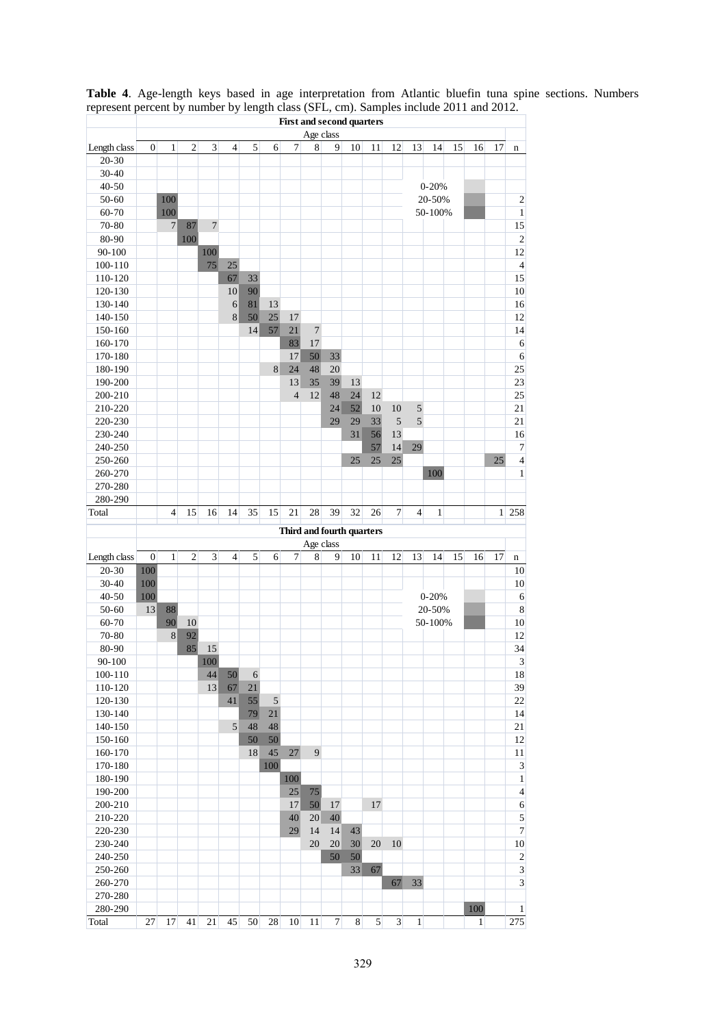| represent percent of nameer of fengin class (BTE, em). Bamples metale 2011 and 2012. |                  |                |                |                |                |    |     | First and second quarters |                |                  |    |                |                |                |              |    |                     |    |                             |
|--------------------------------------------------------------------------------------|------------------|----------------|----------------|----------------|----------------|----|-----|---------------------------|----------------|------------------|----|----------------|----------------|----------------|--------------|----|---------------------|----|-----------------------------|
|                                                                                      | $\vert 0 \vert$  | $\mathbf{1}$   | $\overline{2}$ | $\mathfrak{Z}$ | $\overline{4}$ | 5  | 6   | 7                         | Age class<br>8 | 9                | 10 | 11             | 12             | 13             | 14           | 15 | 16                  | 17 |                             |
| Length class<br>$20 - 30$                                                            |                  |                |                |                |                |    |     |                           |                |                  |    |                |                |                |              |    |                     |    | $\mathbf n$                 |
| $30 - 40$                                                                            |                  |                |                |                |                |    |     |                           |                |                  |    |                |                |                |              |    |                     |    |                             |
| $40 - 50$                                                                            |                  |                |                |                |                |    |     |                           |                |                  |    |                |                |                | $0 - 20%$    |    |                     |    |                             |
| 50-60                                                                                |                  | 100            |                |                |                |    |     |                           |                |                  |    |                |                |                | 20-50%       |    |                     |    | $\overline{2}$              |
| 60-70                                                                                |                  | 100            |                |                |                |    |     |                           |                |                  |    |                |                |                | 50-100%      |    |                     |    | $\mathbf{1}$                |
| $70 - 80$                                                                            |                  | $\overline{7}$ | 87             | $\overline{7}$ |                |    |     |                           |                |                  |    |                |                |                |              |    |                     |    | 15                          |
| 80-90                                                                                |                  |                | 100            |                |                |    |     |                           |                |                  |    |                |                |                |              |    |                     |    | $\sqrt{2}$                  |
| $90 - 100$                                                                           |                  |                |                | 100            |                |    |     |                           |                |                  |    |                |                |                |              |    |                     |    | 12                          |
| $100 - 110$                                                                          |                  |                |                | 75             | 25             |    |     |                           |                |                  |    |                |                |                |              |    |                     |    | $\overline{4}$              |
| 110-120                                                                              |                  |                |                |                | 67             | 33 |     |                           |                |                  |    |                |                |                |              |    |                     |    | 15                          |
| 120-130                                                                              |                  |                |                |                | 10             | 90 |     |                           |                |                  |    |                |                |                |              |    |                     |    | 10                          |
| 130-140                                                                              |                  |                |                |                | 6              | 81 | 13  |                           |                |                  |    |                |                |                |              |    |                     |    | 16                          |
| 140-150                                                                              |                  |                |                |                | $\,$ 8 $\,$    | 50 | 25  | 17                        |                |                  |    |                |                |                |              |    |                     |    | 12                          |
| 150-160                                                                              |                  |                |                |                |                | 14 | 57  | 21                        | $\overline{7}$ |                  |    |                |                |                |              |    |                     |    | 14                          |
| 160-170                                                                              |                  |                |                |                |                |    |     | 83                        | 17             |                  |    |                |                |                |              |    |                     |    | 6                           |
| 170-180                                                                              |                  |                |                |                |                |    |     | 17                        | 50             | 33               |    |                |                |                |              |    |                     |    | $\sqrt{6}$                  |
| 180-190                                                                              |                  |                |                |                |                |    | 8   | 24                        | 48             | 20               |    |                |                |                |              |    |                     |    | 25                          |
| 190-200                                                                              |                  |                |                |                |                |    |     | 13                        | 35             | 39               | 13 |                |                |                |              |    |                     |    | 23                          |
| 200-210                                                                              |                  |                |                |                |                |    |     | $\overline{4}$            | 12             | 48               | 24 | 12             |                |                |              |    |                     |    | 25                          |
| 210-220                                                                              |                  |                |                |                |                |    |     |                           |                | 24               | 52 | 10             | 10             | 5              |              |    |                     |    | 21                          |
| 220-230                                                                              |                  |                |                |                |                |    |     |                           |                | 29               | 29 | 33             | 5              | 5              |              |    |                     |    | 21                          |
| 230-240                                                                              |                  |                |                |                |                |    |     |                           |                |                  | 31 | 56             | 13             |                |              |    |                     |    | 16                          |
| 240-250                                                                              |                  |                |                |                |                |    |     |                           |                |                  |    | 57             | 14             | 29             |              |    |                     |    | $\boldsymbol{7}$            |
| 250-260                                                                              |                  |                |                |                |                |    |     |                           |                |                  | 25 | 25             | 25             |                |              |    |                     | 25 | $\overline{4}$              |
| 260-270                                                                              |                  |                |                |                |                |    |     |                           |                |                  |    |                |                |                | 100          |    |                     |    | 1                           |
| 270-280                                                                              |                  |                |                |                |                |    |     |                           |                |                  |    |                |                |                |              |    |                     |    |                             |
| 280-290                                                                              |                  |                |                |                |                |    |     |                           |                |                  |    |                |                |                |              |    |                     |    |                             |
| Total                                                                                |                  | $\overline{4}$ | 15             | 16             | 14             | 35 | 15  | 21                        | 28             | 39               | 32 | 26             | $\tau$         | $\overline{4}$ | $\mathbf{1}$ |    |                     |    | 1 258                       |
|                                                                                      |                  |                |                |                |                |    |     |                           |                |                  |    |                |                |                |              |    |                     |    |                             |
|                                                                                      |                  |                |                |                |                |    |     | Third and fourth quarters |                |                  |    |                |                |                |              |    |                     |    |                             |
| Length class                                                                         |                  |                | $\overline{2}$ | 3              | $\overline{4}$ | 5  | 6   | $\overline{7}$            | Age class<br>8 | 9                | 10 | 11             | 12             | 13             | 14           | 15 |                     | 17 | $\mathbf n$                 |
|                                                                                      |                  |                |                |                |                |    |     |                           |                |                  |    |                |                |                |              |    |                     |    |                             |
|                                                                                      | $\boldsymbol{0}$ | $\mathbf{1}$   |                |                |                |    |     |                           |                |                  |    |                |                |                |              |    | 16                  |    |                             |
| $20 - 30$                                                                            | 100              |                |                |                |                |    |     |                           |                |                  |    |                |                |                |              |    |                     |    | 10                          |
| $30 - 40$                                                                            | 100              |                |                |                |                |    |     |                           |                |                  |    |                |                |                |              |    |                     |    | 10                          |
| $40 - 50$                                                                            | 100              |                |                |                |                |    |     |                           |                |                  |    |                |                |                | $0 - 20%$    |    |                     |    | 6                           |
| $50 - 60$                                                                            | 13               | 88             |                |                |                |    |     |                           |                |                  |    |                |                |                | 20-50%       |    |                     |    | $\,$ 8 $\,$                 |
| 60-70                                                                                |                  | 90             | 10             |                |                |    |     |                           |                |                  |    |                |                |                | 50-100%      |    |                     |    | 10                          |
| $70 - 80$                                                                            |                  | $\,8$          | 92             |                |                |    |     |                           |                |                  |    |                |                |                |              |    |                     |    | 12                          |
| 80-90                                                                                |                  |                | 85             | 15             |                |    |     |                           |                |                  |    |                |                |                |              |    |                     |    | 34                          |
| $90 - 100$                                                                           |                  |                |                | 100            |                |    |     |                           |                |                  |    |                |                |                |              |    |                     |    | 3                           |
| 100-110                                                                              |                  |                |                | 44             | 50             | 6  |     |                           |                |                  |    |                |                |                |              |    |                     |    | $18\,$                      |
| 110-120                                                                              |                  |                |                | 13             | 67             | 21 |     |                           |                |                  |    |                |                |                |              |    |                     |    | 39                          |
| 120-130                                                                              |                  |                |                |                | 41             | 55 | 5   |                           |                |                  |    |                |                |                |              |    |                     |    | 22                          |
| 130-140                                                                              |                  |                |                |                |                | 79 | 21  |                           |                |                  |    |                |                |                |              |    |                     |    | 14                          |
| 140-150                                                                              |                  |                |                |                | 5              | 48 | 48  |                           |                |                  |    |                |                |                |              |    |                     |    | 21                          |
| 150-160                                                                              |                  |                |                |                |                | 50 | 50  |                           |                |                  |    |                |                |                |              |    |                     |    | 12                          |
| 160-170                                                                              |                  |                |                |                |                | 18 | 45  | 27                        | 9              |                  |    |                |                |                |              |    |                     |    | $11\,$                      |
| 170-180                                                                              |                  |                |                |                |                |    | 100 |                           |                |                  |    |                |                |                |              |    |                     |    | $\sqrt{3}$                  |
| 180-190                                                                              |                  |                |                |                |                |    |     | 100                       |                |                  |    |                |                |                |              |    |                     |    | $\,1\,$                     |
| 190-200                                                                              |                  |                |                |                |                |    |     | 25                        | 75             |                  |    |                |                |                |              |    |                     |    | $\overline{\mathcal{L}}$    |
| 200-210                                                                              |                  |                |                |                |                |    |     | 17                        | 50             | 17               |    | 17             |                |                |              |    |                     |    | $\overline{6}$              |
| 210-220                                                                              |                  |                |                |                |                |    |     | 40                        | 20             | 40               |    |                |                |                |              |    |                     |    | $\overline{\mathbf{5}}$     |
| 220-230                                                                              |                  |                |                |                |                |    |     | 29                        | 14             | 14               | 43 |                |                |                |              |    |                     |    | $\boldsymbol{7}$            |
| 230-240                                                                              |                  |                |                |                |                |    |     |                           | 20             | 20               | 30 | 20             | 10             |                |              |    |                     |    | 10                          |
| 240-250                                                                              |                  |                |                |                |                |    |     |                           |                | 50               | 50 |                |                |                |              |    |                     |    | $\boldsymbol{2}$            |
| 250-260                                                                              |                  |                |                |                |                |    |     |                           |                |                  | 33 | 67             |                |                |              |    |                     |    | $\overline{\mathbf{3}}$     |
| 260-270                                                                              |                  |                |                |                |                |    |     |                           |                |                  |    |                | 67             | 33             |              |    |                     |    | $\ensuremath{\mathfrak{Z}}$ |
| 270-280                                                                              |                  |                |                |                |                |    |     |                           |                |                  |    |                |                |                |              |    |                     |    |                             |
| 280-290<br>Total                                                                     | 27               | 17             | 41             | 21             | 45             | 50 | 28  | 10                        | 11             | $\boldsymbol{7}$ | 8  | 5 <sup>1</sup> | $\overline{3}$ | $\mathbf{1}$   |              |    | 100<br>$\mathbf{1}$ |    | $\mathbf{1}$<br>275         |

**Table 4**. Age-length keys based in age interpretation from Atlantic bluefin tuna spine sections. Numbers represent percent by number by length class (SFL, cm). Samples include 2011 and 2012.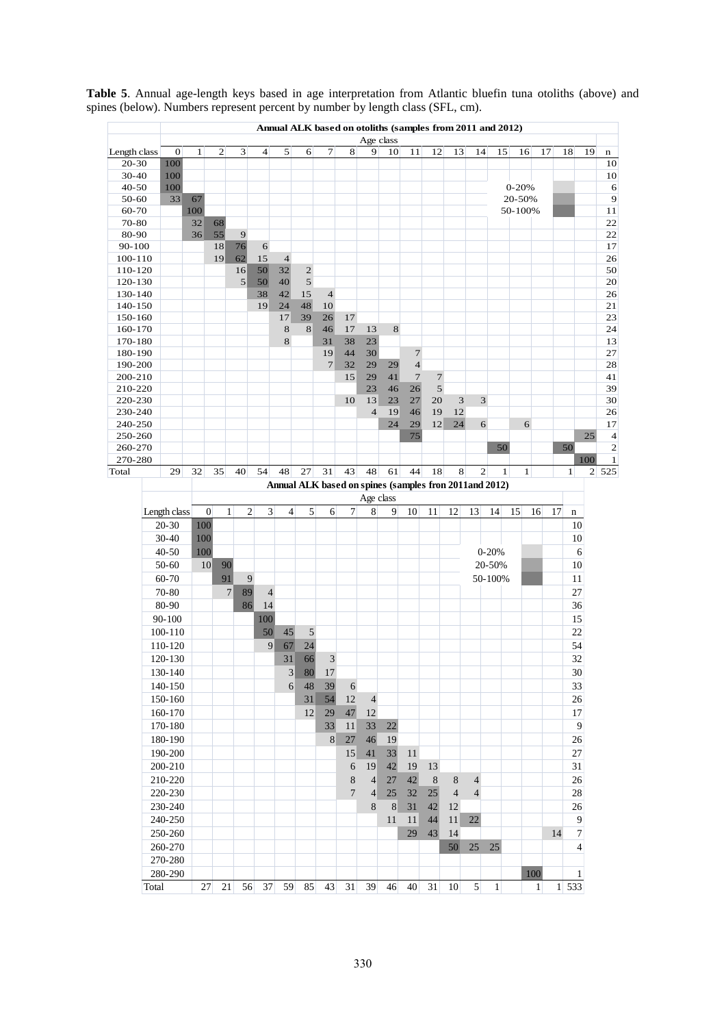|                    |              |              |                   |                |                |                |              |                |             | Annual ALK based on otoliths (samples from 2011 and 2012) |                |                |                |                |                |              |              |              |    |                  |     |                                  |
|--------------------|--------------|--------------|-------------------|----------------|----------------|----------------|--------------|----------------|-------------|-----------------------------------------------------------|----------------|----------------|----------------|----------------|----------------|--------------|--------------|--------------|----|------------------|-----|----------------------------------|
| Length class       | $\mathbf{O}$ | $\mathbf{1}$ | $\mathbf{2}$      | 3              | $\overline{4}$ | $\mathfrak{S}$ | 6            | $\tau$         | 8           | Age class<br>$\overline{9}$                               | 10             | 11             | 12             | 13             | 14             | 15           |              | 16           | 17 | 18               | 19  | n                                |
| $20 - 30$          | 100          |              |                   |                |                |                |              |                |             |                                                           |                |                |                |                |                |              |              |              |    |                  |     | 10                               |
| 30-40              | 100          |              |                   |                |                |                |              |                |             |                                                           |                |                |                |                |                |              |              |              |    |                  |     | 10                               |
| $40 - 50$          | 100          |              |                   |                |                |                |              |                |             |                                                           |                |                |                |                |                |              | $0 - 20%$    |              |    |                  |     | 6                                |
| 50-60              | 33           | 67           |                   |                |                |                |              |                |             |                                                           |                |                |                |                |                |              | 20-50%       |              |    |                  |     | 9                                |
| 60-70              |              | 100          |                   |                |                |                |              |                |             |                                                           |                |                |                |                |                |              | 50-100%      |              |    |                  |     | 11                               |
| 70-80              |              | 32           | 68                |                |                |                |              |                |             |                                                           |                |                |                |                |                |              |              |              |    |                  |     | 22                               |
| 80-90              |              | 36           | 55                | 9              |                |                |              |                |             |                                                           |                |                |                |                |                |              |              |              |    |                  |     | 22                               |
| 90-100             |              |              | 18                | 76             | 6              |                |              |                |             |                                                           |                |                |                |                |                |              |              |              |    |                  |     | 17                               |
| 100-110            |              |              | 19                | 62             | 15             | $\overline{4}$ |              |                |             |                                                           |                |                |                |                |                |              |              |              |    |                  |     | 26                               |
| 110-120            |              |              |                   | 16             | 50             | 32             | $\mathbf{2}$ |                |             |                                                           |                |                |                |                |                |              |              |              |    |                  |     | 50                               |
| 120-130<br>130-140 |              |              |                   | $\overline{5}$ | 50             | 40<br>42       | 5<br>15      | $\overline{4}$ |             |                                                           |                |                |                |                |                |              |              |              |    |                  |     | 20                               |
| 140-150            |              |              |                   |                | 38<br>19       | 24             | 48           | 10             |             |                                                           |                |                |                |                |                |              |              |              |    |                  |     | 26<br>21                         |
| 150-160            |              |              |                   |                |                | 17             | 39           | 26             | 17          |                                                           |                |                |                |                |                |              |              |              |    |                  |     | 23                               |
| 160-170            |              |              |                   |                |                | 8              | 8            | 46             | 17          | 13                                                        | 8              |                |                |                |                |              |              |              |    |                  |     | 24                               |
| 170-180            |              |              |                   |                |                | 8              |              | 31             | 38          | 23                                                        |                |                |                |                |                |              |              |              |    |                  |     | 13                               |
| 180-190            |              |              |                   |                |                |                |              | 19             | 44          | 30                                                        |                | $\tau$         |                |                |                |              |              |              |    |                  |     | 27                               |
| 190-200            |              |              |                   |                |                |                |              | 7              | 32          | 29                                                        | 29             | $\overline{4}$ |                |                |                |              |              |              |    |                  |     | 28                               |
| 200-210            |              |              |                   |                |                |                |              |                | 15          | 29                                                        | 41             | $\overline{7}$ | $\overline{7}$ |                |                |              |              |              |    |                  |     | 41                               |
| 210-220            |              |              |                   |                |                |                |              |                |             | 23                                                        | 46             | 26             | 5              |                |                |              |              |              |    |                  |     | 39                               |
| 220-230            |              |              |                   |                |                |                |              |                | 10          | 13                                                        | 23             | 27             | 20             | 3              | 3              |              |              |              |    |                  |     | 30                               |
| 230-240            |              |              |                   |                |                |                |              |                |             | $\overline{4}$                                            | 19             | 46             | 19             | 12             |                |              |              |              |    |                  |     | 26                               |
| 240-250            |              |              |                   |                |                |                |              |                |             |                                                           | 24             | 29             | 12             | 24             | 6              |              |              | 6            |    |                  |     | 17                               |
| 250-260            |              |              |                   |                |                |                |              |                |             |                                                           |                | 75             |                |                |                |              |              |              |    | 50               | 25  | $\overline{4}$<br>$\overline{2}$ |
| 260-270<br>270-280 |              |              |                   |                |                |                |              |                |             |                                                           |                |                |                |                |                | 50           |              |              |    |                  | 100 | $\mathbf{1}$                     |
| Total              | 29           | 32           | 35                | 40             | 54             | 48             | 27           | 31             | 43          | 48                                                        | 61             | 44             | 18             | 8              | $\overline{2}$ |              | $\mathbf{1}$ | $\mathbf{1}$ |    | $\mathbf{1}$     |     | $2 \overline{)525}$              |
|                    |              |              |                   |                |                |                |              |                |             | Annual ALK based on spines (samples fron 2011and 2012)    |                |                |                |                |                |              |              |              |    |                  |     |                                  |
|                    |              |              |                   |                |                |                |              |                |             | Age class                                                 |                |                |                |                |                |              |              |              |    |                  |     |                                  |
|                    | Length class |              | $\mathbf{0}$<br>1 | $\overline{2}$ | 3              | $\overline{4}$ | 5            | 6              | 7           | 8                                                         | 9              | 10             | 11             | 12             | 13             | 14           | 15           | 16           | 17 |                  |     |                                  |
|                    | $20 - 30$    | 100          |                   |                |                |                |              |                |             |                                                           |                |                |                |                |                |              |              |              |    | n<br>10          |     |                                  |
|                    |              |              |                   |                |                |                |              |                |             |                                                           |                |                |                |                |                |              |              |              |    |                  |     |                                  |
|                    | $30 - 40$    | 100          |                   |                |                |                |              |                |             |                                                           |                |                |                |                |                |              |              |              |    | 10               |     |                                  |
|                    | $40 - 50$    | 100          |                   |                |                |                |              |                |             |                                                           |                |                |                |                |                | $0 - 20%$    |              |              |    | 6                |     |                                  |
|                    | $50 - 60$    | 10           | 90                |                |                |                |              |                |             |                                                           |                |                |                |                |                | 20-50%       |              |              |    | 10               |     |                                  |
|                    | 60-70        |              | 91                | 9              |                |                |              |                |             |                                                           |                |                |                |                |                | 50-100%      |              |              |    | 11               |     |                                  |
|                    | 70-80        |              | 7                 | 89             | $\overline{4}$ |                |              |                |             |                                                           |                |                |                |                |                |              |              |              |    | 27               |     |                                  |
|                    | 80-90        |              |                   | 86             | 14             |                |              |                |             |                                                           |                |                |                |                |                |              |              |              |    | 36               |     |                                  |
|                    | $90 - 100$   |              |                   |                | 100            |                |              |                |             |                                                           |                |                |                |                |                |              |              |              |    | 15               |     |                                  |
|                    | 100-110      |              |                   |                | 50             | 45             | 5            |                |             |                                                           |                |                |                |                |                |              |              |              |    | 22               |     |                                  |
|                    | 110-120      |              |                   |                | 9              | 67             | 24           |                |             |                                                           |                |                |                |                |                |              |              |              |    | 54               |     |                                  |
|                    | 120-130      |              |                   |                |                | 31             | 66           | 3              |             |                                                           |                |                |                |                |                |              |              |              |    | 32               |     |                                  |
|                    | 130-140      |              |                   |                |                | $\overline{3}$ | 80           | 17             |             |                                                           |                |                |                |                |                |              |              |              |    | 30               |     |                                  |
|                    | 140-150      |              |                   |                |                | 6              | 48           | 39             | 6           |                                                           |                |                |                |                |                |              |              |              |    | 33               |     |                                  |
|                    | 150-160      |              |                   |                |                |                | 31           | 54             | 12          | $\overline{4}$                                            |                |                |                |                |                |              |              |              |    | 26               |     |                                  |
|                    | 160-170      |              |                   |                |                |                | 12           | 29             | 47          | 12                                                        |                |                |                |                |                |              |              |              |    | 17               |     |                                  |
|                    | 170-180      |              |                   |                |                |                |              | 33             | 11          | 33                                                        | 22             |                |                |                |                |              |              |              |    | 9                |     |                                  |
|                    | 180-190      |              |                   |                |                |                |              | 8              | $27\,$      | 46                                                        | 19             |                |                |                |                |              |              |              |    | 26               |     |                                  |
|                    | 190-200      |              |                   |                |                |                |              |                | 15          | 41                                                        | 33             | 11             |                |                |                |              |              |              |    | 27               |     |                                  |
|                    | 200-210      |              |                   |                |                |                |              |                | 6           | 19                                                        | 42             | 19             | 13             |                |                |              |              |              |    | 31               |     |                                  |
|                    | 210-220      |              |                   |                |                |                |              |                | $\,$ 8 $\,$ | $\vert 4 \vert$                                           | 27             | 42             | 8              | $\,8\,$        | $\overline{4}$ |              |              |              |    | 26               |     |                                  |
|                    |              |              |                   |                |                |                |              |                |             |                                                           |                |                |                |                |                |              |              |              |    |                  |     |                                  |
|                    | 220-230      |              |                   |                |                |                |              |                | 7           | $\vert 4 \vert$                                           | 25             | 32             | 25             | $\overline{4}$ | $\overline{4}$ |              |              |              |    | 28               |     |                                  |
|                    | 230-240      |              |                   |                |                |                |              |                |             | 8                                                         | 8 <sup>1</sup> | 31             | 42             | 12             |                |              |              |              |    | 26               |     |                                  |
|                    | 240-250      |              |                   |                |                |                |              |                |             |                                                           | 11             | 11             | 44             | $11\,$         | 22             |              |              |              |    | 9                |     |                                  |
|                    | 250-260      |              |                   |                |                |                |              |                |             |                                                           |                | 29             | 43             | 14             |                |              |              |              | 14 | $\boldsymbol{7}$ |     |                                  |
|                    | 260-270      |              |                   |                |                |                |              |                |             |                                                           |                |                |                | 50             | 25             | 25           |              |              |    | $\overline{4}$   |     |                                  |
|                    | 270-280      |              |                   |                |                |                |              |                |             |                                                           |                |                |                |                |                |              |              |              |    |                  |     |                                  |
|                    | 280-290      |              |                   |                |                |                |              |                |             |                                                           |                |                |                |                |                |              |              | 100          |    | 1                |     |                                  |
|                    | Total        | 27           | 21                | 56             | 37             | 59             | 85           | 43             | 31          | 39                                                        | 46             | 40             | 31             | 10             | 5 <sup>5</sup> | $\mathbf{1}$ |              | $\mathbf{1}$ |    | 1 533            |     |                                  |

**Table 5**. Annual age-length keys based in age interpretation from Atlantic bluefin tuna otoliths (above) and spines (below). Numbers represent percent by number by length class (SFL, cm).